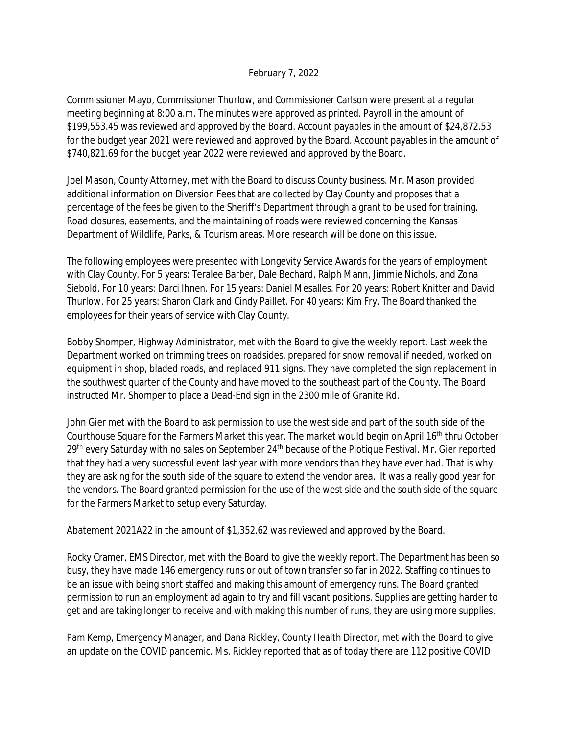## February 7, 2022

Commissioner Mayo, Commissioner Thurlow, and Commissioner Carlson were present at a regular meeting beginning at 8:00 a.m. The minutes were approved as printed. Payroll in the amount of \$199,553.45 was reviewed and approved by the Board. Account payables in the amount of \$24,872.53 for the budget year 2021 were reviewed and approved by the Board. Account payables in the amount of \$740,821.69 for the budget year 2022 were reviewed and approved by the Board.

Joel Mason, County Attorney, met with the Board to discuss County business. Mr. Mason provided additional information on Diversion Fees that are collected by Clay County and proposes that a percentage of the fees be given to the Sheriff's Department through a grant to be used for training. Road closures, easements, and the maintaining of roads were reviewed concerning the Kansas Department of Wildlife, Parks, & Tourism areas. More research will be done on this issue.

The following employees were presented with Longevity Service Awards for the years of employment with Clay County. For 5 years: Teralee Barber, Dale Bechard, Ralph Mann, Jimmie Nichols, and Zona Siebold. For 10 years: Darci Ihnen. For 15 years: Daniel Mesalles. For 20 years: Robert Knitter and David Thurlow. For 25 years: Sharon Clark and Cindy Paillet. For 40 years: Kim Fry. The Board thanked the employees for their years of service with Clay County.

Bobby Shomper, Highway Administrator, met with the Board to give the weekly report. Last week the Department worked on trimming trees on roadsides, prepared for snow removal if needed, worked on equipment in shop, bladed roads, and replaced 911 signs. They have completed the sign replacement in the southwest quarter of the County and have moved to the southeast part of the County. The Board instructed Mr. Shomper to place a Dead-End sign in the 2300 mile of Granite Rd.

John Gier met with the Board to ask permission to use the west side and part of the south side of the Courthouse Square for the Farmers Market this year. The market would begin on April 16<sup>th</sup> thru October 29<sup>th</sup> every Saturday with no sales on September 24<sup>th</sup> because of the Piotique Festival. Mr. Gier reported that they had a very successful event last year with more vendors than they have ever had. That is why they are asking for the south side of the square to extend the vendor area. It was a really good year for the vendors. The Board granted permission for the use of the west side and the south side of the square for the Farmers Market to setup every Saturday.

Abatement 2021A22 in the amount of \$1,352.62 was reviewed and approved by the Board.

Rocky Cramer, EMS Director, met with the Board to give the weekly report. The Department has been so busy, they have made 146 emergency runs or out of town transfer so far in 2022. Staffing continues to be an issue with being short staffed and making this amount of emergency runs. The Board granted permission to run an employment ad again to try and fill vacant positions. Supplies are getting harder to get and are taking longer to receive and with making this number of runs, they are using more supplies.

Pam Kemp, Emergency Manager, and Dana Rickley, County Health Director, met with the Board to give an update on the COVID pandemic. Ms. Rickley reported that as of today there are 112 positive COVID